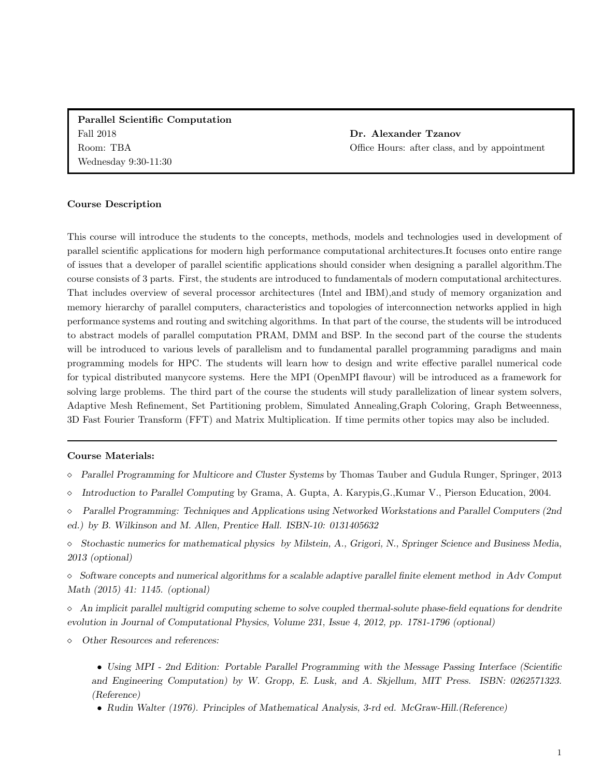Parallel Scientific Computation Fall 2018 Room: TBA Wednesday 9:30-11:30

Dr. Alexander Tzanov Office Hours: after class, and by appointment

#### Course Description

This course will introduce the students to the concepts, methods, models and technologies used in development of parallel scientific applications for modern high performance computational architectures.It focuses onto entire range of issues that a developer of parallel scientific applications should consider when designing a parallel algorithm.The course consists of 3 parts. First, the students are introduced to fundamentals of modern computational architectures. That includes overview of several processor architectures (Intel and IBM),and study of memory organization and memory hierarchy of parallel computers, characteristics and topologies of interconnection networks applied in high performance systems and routing and switching algorithms. In that part of the course, the students will be introduced to abstract models of parallel computation PRAM, DMM and BSP. In the second part of the course the students will be introduced to various levels of parallelism and to fundamental parallel programming paradigms and main programming models for HPC. The students will learn how to design and write effective parallel numerical code for typical distributed manycore systems. Here the MPI (OpenMPI flavour) will be introduced as a framework for solving large problems. The third part of the course the students will study parallelization of linear system solvers, Adaptive Mesh Refinement, Set Partitioning problem, Simulated Annealing,Graph Coloring, Graph Betweenness, 3D Fast Fourier Transform (FFT) and Matrix Multiplication. If time permits other topics may also be included.

### Course Materials:

- $\Diamond$  Parallel Programming for Multicore and Cluster Systems by Thomas Tauber and Gudula Runger, Springer, 2013
- Introduction to Parallel Computing by Grama, A. Gupta, A. Karypis,G.,Kumar V., Pierson Education, 2004.
- Parallel Programming: Techniques and Applications using Networked Workstations and Parallel Computers (2nd ed.) by B. Wilkinson and M. Allen, Prentice Hall. ISBN-10: 0131405632
- $\Diamond$  Stochastic numerics for mathematical physics by Milstein, A., Grigori, N., Springer Science and Business Media, 2013 (optional)

 $\Diamond$  Software concepts and numerical algorithms for a scalable adaptive parallel finite element method in Adv Comput Math (2015) 41: 1145. (optional)

 $\Diamond$  An implicit parallel multigrid computing scheme to solve coupled thermal-solute phase-field equations for dendrite evolution in Journal of Computational Physics, Volume 231, Issue 4, 2012, pp. 1781-1796 (optional)

Other Resources and references:

• Using MPI - 2nd Edition: Portable Parallel Programming with the Message Passing Interface (Scientific and Engineering Computation) by W. Gropp, E. Lusk, and A. Skjellum, MIT Press. ISBN: 0262571323. (Reference)

• Rudin Walter (1976). Principles of Mathematical Analysis, 3-rd ed. McGraw-Hill.(Reference)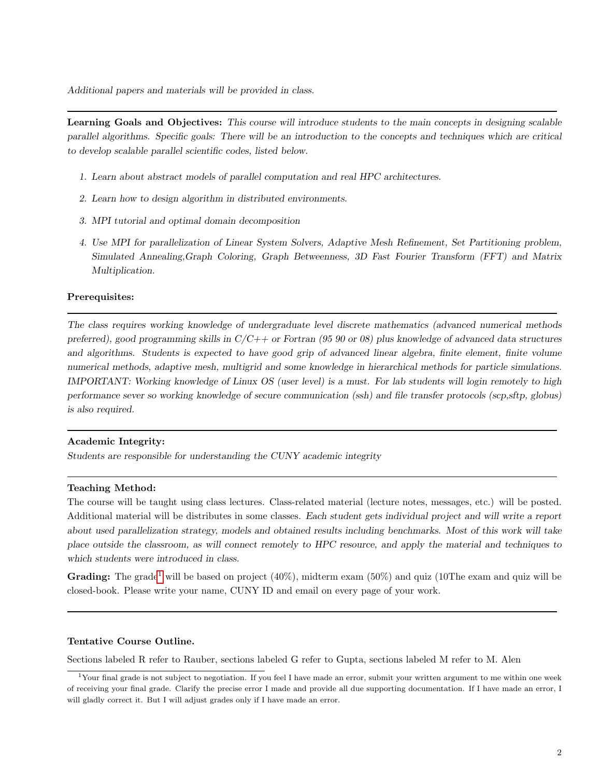Additional papers and materials will be provided in class.

Learning Goals and Objectives: This course will introduce students to the main concepts in designing scalable parallel algorithms. Specific goals: There will be an introduction to the concepts and techniques which are critical to develop scalable parallel scientific codes, listed below.

- 1. Learn about abstract models of parallel computation and real HPC architectures.
- 2. Learn how to design algorithm in distributed environments.
- 3. MPI tutorial and optimal domain decomposition
- 4. Use MPI for parallelization of Linear System Solvers, Adaptive Mesh Refinement, Set Partitioning problem, Simulated Annealing,Graph Coloring, Graph Betweenness, 3D Fast Fourier Transform (FFT) and Matrix Multiplication.

# Prerequisites:

The class requires working knowledge of undergraduate level discrete mathematics (advanced numerical methods preferred), good programming skills in  $C/C++$  or Fortran (95 90 or 08) plus knowledge of advanced data structures and algorithms. Students is expected to have good grip of advanced linear algebra, finite element, finite volume numerical methods, adaptive mesh, multigrid and some knowledge in hierarchical methods for particle simulations. IMPORTANT: Working knowledge of Linux OS (user level) is a must. For lab students will login remotely to high performance sever so working knowledge of secure communication (ssh) and file transfer protocols (scp,sftp, globus) is also required.

### Academic Integrity:

Students are responsible for understanding the CUNY academic integrity

# Teaching Method:

The course will be taught using class lectures. Class-related material (lecture notes, messages, etc.) will be posted. Additional material will be distributes in some classes. Each student gets individual project and will write a report about used parallelization strategy, models and obtained results including benchmarks. Most of this work will take place outside the classroom, as will connect remotely to HPC resource, and apply the material and techniques to which students were introduced in class.

Grading: The grade<sup>[1](#page-1-0)</sup> will be based on project  $(40\%)$ , midterm exam  $(50\%)$  and quiz  $(10)$ The exam and quiz will be closed-book. Please write your name, CUNY ID and email on every page of your work.

### Tentative Course Outline.

Sections labeled R refer to Rauber, sections labeled G refer to Gupta, sections labeled M refer to M. Alen

<span id="page-1-0"></span><sup>&</sup>lt;sup>1</sup>Your final grade is not subject to negotiation. If you feel I have made an error, submit your written argument to me within one week of receiving your final grade. Clarify the precise error I made and provide all due supporting documentation. If I have made an error, I will gladly correct it. But I will adjust grades only if I have made an error.